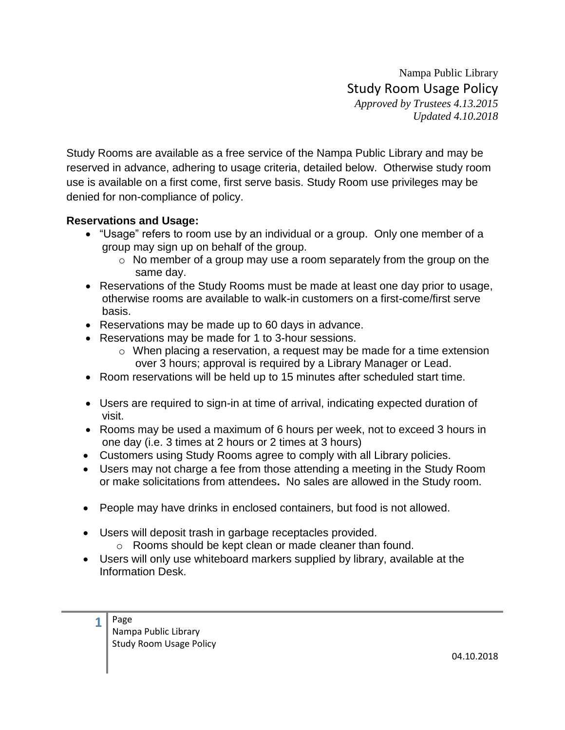Nampa Public Library Study Room Usage Policy *Approved by Trustees 4.13.2015 Updated 4.10.2018*

Study Rooms are available as a free service of the Nampa Public Library and may be reserved in advance, adhering to usage criteria, detailed below. Otherwise study room use is available on a first come, first serve basis. Study Room use privileges may be denied for non-compliance of policy.

## **Reservations and Usage:**

- "Usage" refers to room use by an individual or a group. Only one member of a group may sign up on behalf of the group.
	- o No member of a group may use a room separately from the group on the same day.
- Reservations of the Study Rooms must be made at least one day prior to usage, otherwise rooms are available to walk-in customers on a first-come/first serve basis.
- Reservations may be made up to 60 days in advance.
- Reservations may be made for 1 to 3-hour sessions.
	- o When placing a reservation, a request may be made for a time extension over 3 hours; approval is required by a Library Manager or Lead.
- Room reservations will be held up to 15 minutes after scheduled start time.
- Users are required to sign-in at time of arrival, indicating expected duration of visit.
- Rooms may be used a maximum of 6 hours per week, not to exceed 3 hours in one day (i.e. 3 times at 2 hours or 2 times at 3 hours)
- Customers using Study Rooms agree to comply with all Library policies.
- Users may not charge a fee from those attending a meeting in the Study Room or make solicitations from attendees**.** No sales are allowed in the Study room.
- People may have drinks in enclosed containers, but food is not allowed.
- Users will deposit trash in garbage receptacles provided. o Rooms should be kept clean or made cleaner than found.
- Users will only use whiteboard markers supplied by library, available at the Information Desk.

| Page                    |
|-------------------------|
| Nampa Public Library    |
| Study Room Usage Policy |